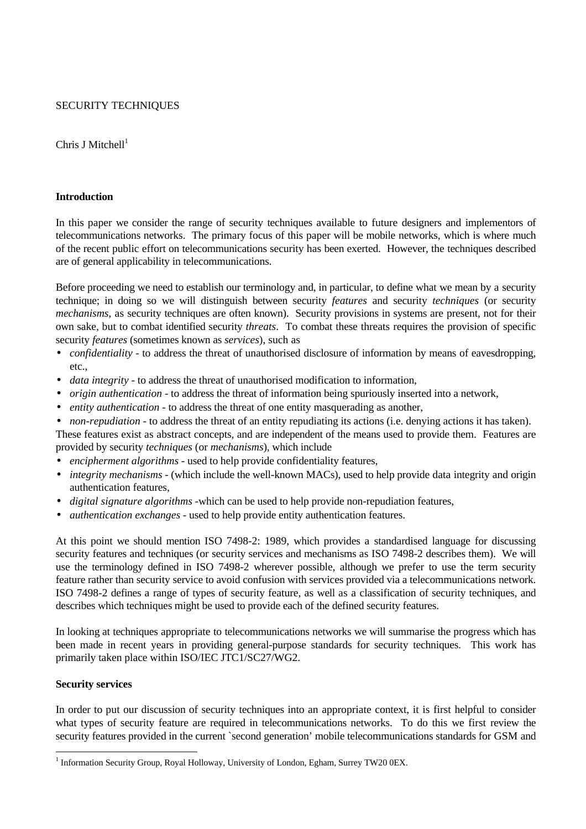# SECURITY TECHNIQUES

Chris J Mitchell $1$ 

## **Introduction**

In this paper we consider the range of security techniques available to future designers and implementors of telecommunications networks. The primary focus of this paper will be mobile networks, which is where much of the recent public effort on telecommunications security has been exerted. However, the techniques described are of general applicability in telecommunications.

Before proceeding we need to establish our terminology and, in particular, to define what we mean by a security technique; in doing so we will distinguish between security *features* and security *techniques* (or security *mechanisms*, as security techniques are often known). Security provisions in systems are present, not for their own sake, but to combat identified security *threats*. To combat these threats requires the provision of specific security *features* (sometimes known as *services*), such as

- *confidentiality* to address the threat of unauthorised disclosure of information by means of eavesdropping, etc.,
- *data integrity* to address the threat of unauthorised modification to information,
- *origin authentication* to address the threat of information being spuriously inserted into a network,
- *entity authentication* to address the threat of one entity masquerading as another,
- *non-repudiation* to address the threat of an entity repudiating its actions (i.e. denying actions it has taken).

These features exist as abstract concepts, and are independent of the means used to provide them. Features are provided by security *techniques* (or *mechanisms*), which include

- *encipherment algorithms* used to help provide confidentiality features,
- *integrity mechanisms* (which include the well-known MACs), used to help provide data integrity and origin authentication features,
- *digital signature algorithms* -which can be used to help provide non-repudiation features,
- *authentication exchanges* used to help provide entity authentication features.

At this point we should mention ISO 7498-2: 1989, which provides a standardised language for discussing security features and techniques (or security services and mechanisms as ISO 7498-2 describes them). We will use the terminology defined in ISO 7498-2 wherever possible, although we prefer to use the term security feature rather than security service to avoid confusion with services provided via a telecommunications network. ISO 7498-2 defines a range of types of security feature, as well as a classification of security techniques, and describes which techniques might be used to provide each of the defined security features.

In looking at techniques appropriate to telecommunications networks we will summarise the progress which has been made in recent years in providing general-purpose standards for security techniques. This work has primarily taken place within ISO/IEC JTC1/SC27/WG2.

### **Security services**

-

In order to put our discussion of security techniques into an appropriate context, it is first helpful to consider what types of security feature are required in telecommunications networks. To do this we first review the security features provided in the current `second generation' mobile telecommunications standards for GSM and

<sup>&</sup>lt;sup>1</sup> Information Security Group, Royal Holloway, University of London, Egham, Surrey TW20 0EX.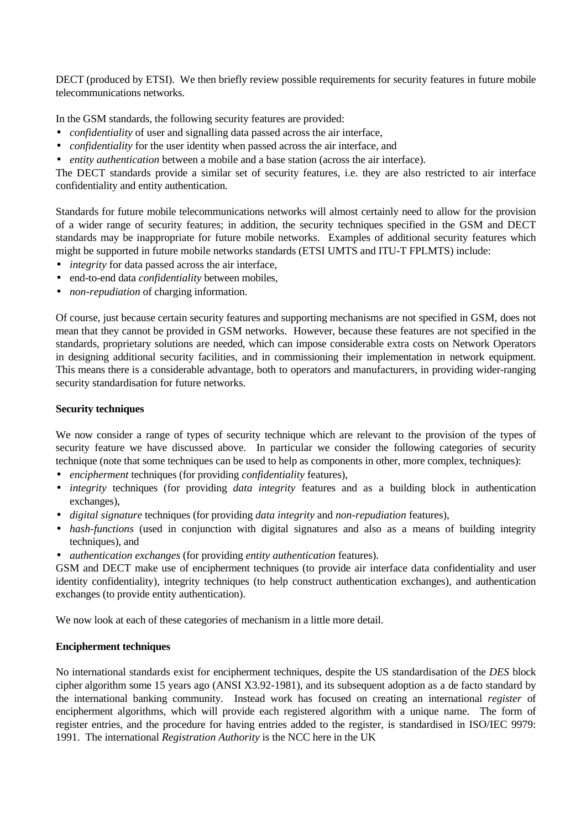DECT (produced by ETSI). We then briefly review possible requirements for security features in future mobile telecommunications networks.

In the GSM standards, the following security features are provided:

- *confidentiality* of user and signalling data passed across the air interface,
- *confidentiality* for the user identity when passed across the air interface, and
- *entity authentication* between a mobile and a base station (across the air interface).

The DECT standards provide a similar set of security features, i.e. they are also restricted to air interface confidentiality and entity authentication.

Standards for future mobile telecommunications networks will almost certainly need to allow for the provision of a wider range of security features; in addition, the security techniques specified in the GSM and DECT standards may be inappropriate for future mobile networks. Examples of additional security features which might be supported in future mobile networks standards (ETSI UMTS and ITU-T FPLMTS) include:

- *integrity* for data passed across the air interface,
- end-to-end data *confidentiality* between mobiles,
- *non-repudiation* of charging information.

Of course, just because certain security features and supporting mechanisms are not specified in GSM, does not mean that they cannot be provided in GSM networks. However, because these features are not specified in the standards, proprietary solutions are needed, which can impose considerable extra costs on Network Operators in designing additional security facilities, and in commissioning their implementation in network equipment. This means there is a considerable advantage, both to operators and manufacturers, in providing wider-ranging security standardisation for future networks.

## **Security techniques**

We now consider a range of types of security technique which are relevant to the provision of the types of security feature we have discussed above. In particular we consider the following categories of security technique (note that some techniques can be used to help as components in other, more complex, techniques):

- *encipherment* techniques (for providing *confidentiality* features),
- *integrity* techniques (for providing *data integrity* features and as a building block in authentication exchanges),
- *digital signature* techniques (for providing *data integrity* and *non-repudiation* features),
- *hash-functions* (used in conjunction with digital signatures and also as a means of building integrity techniques), and
- *authentication exchanges* (for providing *entity authentication* features).

GSM and DECT make use of encipherment techniques (to provide air interface data confidentiality and user identity confidentiality), integrity techniques (to help construct authentication exchanges), and authentication exchanges (to provide entity authentication).

We now look at each of these categories of mechanism in a little more detail.

### **Encipherment techniques**

No international standards exist for encipherment techniques, despite the US standardisation of the *DES* block cipher algorithm some 15 years ago (ANSI X3.92-1981), and its subsequent adoption as a de facto standard by the international banking community. Instead work has focused on creating an international *register* of encipherment algorithms, which will provide each registered algorithm with a unique name. The form of register entries, and the procedure for having entries added to the register, is standardised in ISO/IEC 9979: 1991. The international *Registration Authority* is the NCC here in the UK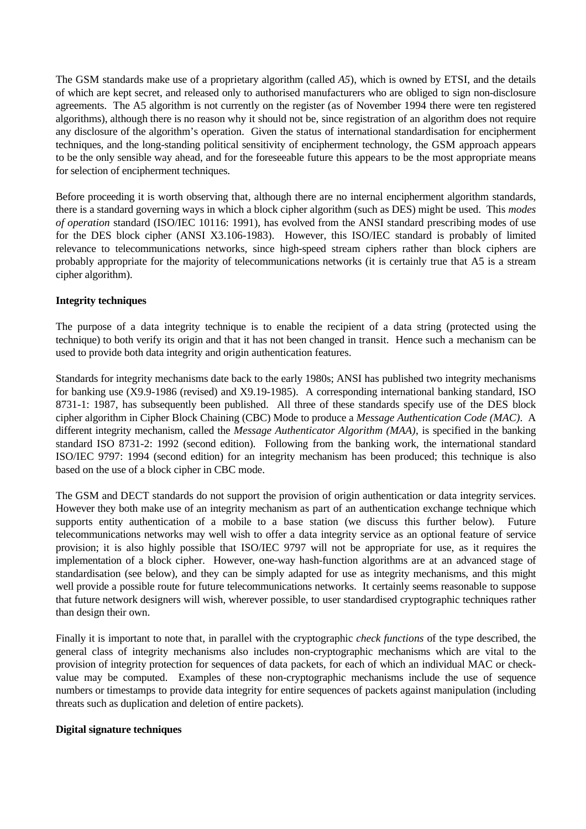The GSM standards make use of a proprietary algorithm (called *A5*), which is owned by ETSI, and the details of which are kept secret, and released only to authorised manufacturers who are obliged to sign non-disclosure agreements. The A5 algorithm is not currently on the register (as of November 1994 there were ten registered algorithms), although there is no reason why it should not be, since registration of an algorithm does not require any disclosure of the algorithm's operation. Given the status of international standardisation for encipherment techniques, and the long-standing political sensitivity of encipherment technology, the GSM approach appears to be the only sensible way ahead, and for the foreseeable future this appears to be the most appropriate means for selection of encipherment techniques.

Before proceeding it is worth observing that, although there are no internal encipherment algorithm standards, there is a standard governing ways in which a block cipher algorithm (such as DES) might be used. This *modes of operation* standard (ISO/IEC 10116: 1991), has evolved from the ANSI standard prescribing modes of use for the DES block cipher (ANSI X3.106-1983). However, this ISO/IEC standard is probably of limited relevance to telecommunications networks, since high-speed stream ciphers rather than block ciphers are probably appropriate for the majority of telecommunications networks (it is certainly true that A5 is a stream cipher algorithm).

# **Integrity techniques**

The purpose of a data integrity technique is to enable the recipient of a data string (protected using the technique) to both verify its origin and that it has not been changed in transit. Hence such a mechanism can be used to provide both data integrity and origin authentication features.

Standards for integrity mechanisms date back to the early 1980s; ANSI has published two integrity mechanisms for banking use (X9.9-1986 (revised) and X9.19-1985). A corresponding international banking standard, ISO 8731-1: 1987, has subsequently been published. All three of these standards specify use of the DES block cipher algorithm in Cipher Block Chaining (CBC) Mode to produce a *Message Authentication Code (MAC)*. A different integrity mechanism, called the *Message Authenticator Algorithm (MAA)*, is specified in the banking standard ISO 8731-2: 1992 (second edition). Following from the banking work, the international standard ISO/IEC 9797: 1994 (second edition) for an integrity mechanism has been produced; this technique is also based on the use of a block cipher in CBC mode.

The GSM and DECT standards do not support the provision of origin authentication or data integrity services. However they both make use of an integrity mechanism as part of an authentication exchange technique which supports entity authentication of a mobile to a base station (we discuss this further below). Future telecommunications networks may well wish to offer a data integrity service as an optional feature of service provision; it is also highly possible that ISO/IEC 9797 will not be appropriate for use, as it requires the implementation of a block cipher. However, one-way hash-function algorithms are at an advanced stage of standardisation (see below), and they can be simply adapted for use as integrity mechanisms, and this might well provide a possible route for future telecommunications networks. It certainly seems reasonable to suppose that future network designers will wish, wherever possible, to user standardised cryptographic techniques rather than design their own.

Finally it is important to note that, in parallel with the cryptographic *check functions* of the type described, the general class of integrity mechanisms also includes non-cryptographic mechanisms which are vital to the provision of integrity protection for sequences of data packets, for each of which an individual MAC or checkvalue may be computed. Examples of these non-cryptographic mechanisms include the use of sequence numbers or timestamps to provide data integrity for entire sequences of packets against manipulation (including threats such as duplication and deletion of entire packets).

### **Digital signature techniques**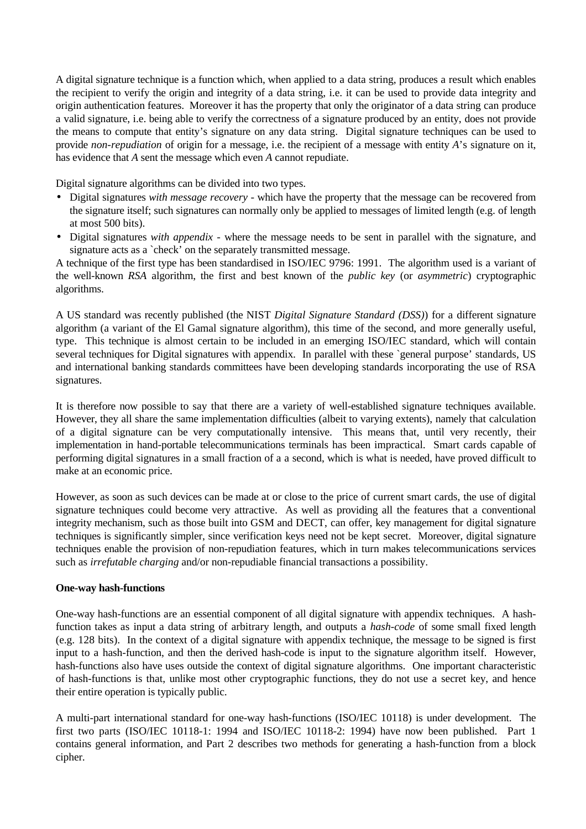A digital signature technique is a function which, when applied to a data string, produces a result which enables the recipient to verify the origin and integrity of a data string, i.e. it can be used to provide data integrity and origin authentication features. Moreover it has the property that only the originator of a data string can produce a valid signature, i.e. being able to verify the correctness of a signature produced by an entity, does not provide the means to compute that entity's signature on any data string. Digital signature techniques can be used to provide *non-repudiation* of origin for a message, i.e. the recipient of a message with entity *A*'s signature on it, has evidence that *A* sent the message which even *A* cannot repudiate.

Digital signature algorithms can be divided into two types.

- Digital signatures *with message recovery* which have the property that the message can be recovered from the signature itself; such signatures can normally only be applied to messages of limited length (e.g. of length at most 500 bits).
- Digital signatures *with appendix* where the message needs to be sent in parallel with the signature, and signature acts as a `check' on the separately transmitted message.

A technique of the first type has been standardised in ISO/IEC 9796: 1991. The algorithm used is a variant of the well-known *RSA* algorithm, the first and best known of the *public key* (or *asymmetric*) cryptographic algorithms.

A US standard was recently published (the NIST *Digital Signature Standard (DSS)*) for a different signature algorithm (a variant of the El Gamal signature algorithm), this time of the second, and more generally useful, type. This technique is almost certain to be included in an emerging ISO/IEC standard, which will contain several techniques for Digital signatures with appendix. In parallel with these `general purpose' standards, US and international banking standards committees have been developing standards incorporating the use of RSA signatures.

It is therefore now possible to say that there are a variety of well-established signature techniques available. However, they all share the same implementation difficulties (albeit to varying extents), namely that calculation of a digital signature can be very computationally intensive. This means that, until very recently, their implementation in hand-portable telecommunications terminals has been impractical. Smart cards capable of performing digital signatures in a small fraction of a a second, which is what is needed, have proved difficult to make at an economic price.

However, as soon as such devices can be made at or close to the price of current smart cards, the use of digital signature techniques could become very attractive. As well as providing all the features that a conventional integrity mechanism, such as those built into GSM and DECT, can offer, key management for digital signature techniques is significantly simpler, since verification keys need not be kept secret. Moreover, digital signature techniques enable the provision of non-repudiation features, which in turn makes telecommunications services such as *irrefutable charging* and/or non-repudiable financial transactions a possibility.

### **One-way hash-functions**

One-way hash-functions are an essential component of all digital signature with appendix techniques. A hashfunction takes as input a data string of arbitrary length, and outputs a *hash-code* of some small fixed length (e.g. 128 bits). In the context of a digital signature with appendix technique, the message to be signed is first input to a hash-function, and then the derived hash-code is input to the signature algorithm itself. However, hash-functions also have uses outside the context of digital signature algorithms. One important characteristic of hash-functions is that, unlike most other cryptographic functions, they do not use a secret key, and hence their entire operation is typically public.

A multi-part international standard for one-way hash-functions (ISO/IEC 10118) is under development. The first two parts (ISO/IEC 10118-1: 1994 and ISO/IEC 10118-2: 1994) have now been published. Part 1 contains general information, and Part 2 describes two methods for generating a hash-function from a block cipher.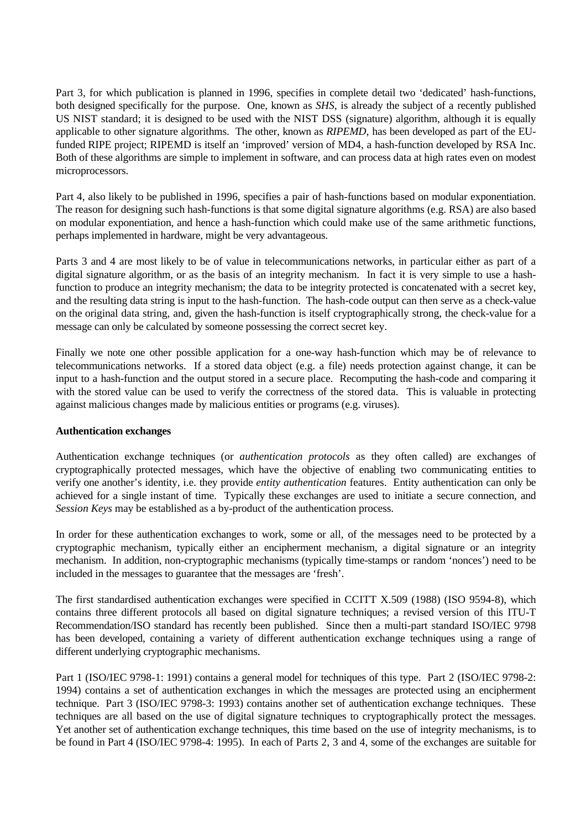Part 3, for which publication is planned in 1996, specifies in complete detail two 'dedicated' hash-functions, both designed specifically for the purpose. One, known as *SHS*, is already the subject of a recently published US NIST standard; it is designed to be used with the NIST DSS (signature) algorithm, although it is equally applicable to other signature algorithms. The other, known as *RIPEMD*, has been developed as part of the EUfunded RIPE project; RIPEMD is itself an 'improved' version of MD4, a hash-function developed by RSA Inc. Both of these algorithms are simple to implement in software, and can process data at high rates even on modest microprocessors.

Part 4, also likely to be published in 1996, specifies a pair of hash-functions based on modular exponentiation. The reason for designing such hash-functions is that some digital signature algorithms (e.g. RSA) are also based on modular exponentiation, and hence a hash-function which could make use of the same arithmetic functions, perhaps implemented in hardware, might be very advantageous.

Parts 3 and 4 are most likely to be of value in telecommunications networks, in particular either as part of a digital signature algorithm, or as the basis of an integrity mechanism. In fact it is very simple to use a hashfunction to produce an integrity mechanism; the data to be integrity protected is concatenated with a secret key, and the resulting data string is input to the hash-function. The hash-code output can then serve as a check-value on the original data string, and, given the hash-function is itself cryptographically strong, the check-value for a message can only be calculated by someone possessing the correct secret key.

Finally we note one other possible application for a one-way hash-function which may be of relevance to telecommunications networks. If a stored data object (e.g. a file) needs protection against change, it can be input to a hash-function and the output stored in a secure place. Recomputing the hash-code and comparing it with the stored value can be used to verify the correctness of the stored data. This is valuable in protecting against malicious changes made by malicious entities or programs (e.g. viruses).

### **Authentication exchanges**

Authentication exchange techniques (or *authentication protocols* as they often called) are exchanges of cryptographically protected messages, which have the objective of enabling two communicating entities to verify one another's identity, i.e. they provide *entity authentication* features. Entity authentication can only be achieved for a single instant of time. Typically these exchanges are used to initiate a secure connection, and *Session Keys* may be established as a by-product of the authentication process.

In order for these authentication exchanges to work, some or all, of the messages need to be protected by a cryptographic mechanism, typically either an encipherment mechanism, a digital signature or an integrity mechanism. In addition, non-cryptographic mechanisms (typically time-stamps or random 'nonces') need to be included in the messages to guarantee that the messages are 'fresh'.

The first standardised authentication exchanges were specified in CCITT X.509 (1988) (ISO 9594-8), which contains three different protocols all based on digital signature techniques; a revised version of this ITU-T Recommendation/ISO standard has recently been published. Since then a multi-part standard ISO/IEC 9798 has been developed, containing a variety of different authentication exchange techniques using a range of different underlying cryptographic mechanisms.

Part 1 (ISO/IEC 9798-1: 1991) contains a general model for techniques of this type. Part 2 (ISO/IEC 9798-2: 1994) contains a set of authentication exchanges in which the messages are protected using an encipherment technique. Part 3 (ISO/IEC 9798-3: 1993) contains another set of authentication exchange techniques. These techniques are all based on the use of digital signature techniques to cryptographically protect the messages. Yet another set of authentication exchange techniques, this time based on the use of integrity mechanisms, is to be found in Part 4 (ISO/IEC 9798-4: 1995). In each of Parts 2, 3 and 4, some of the exchanges are suitable for